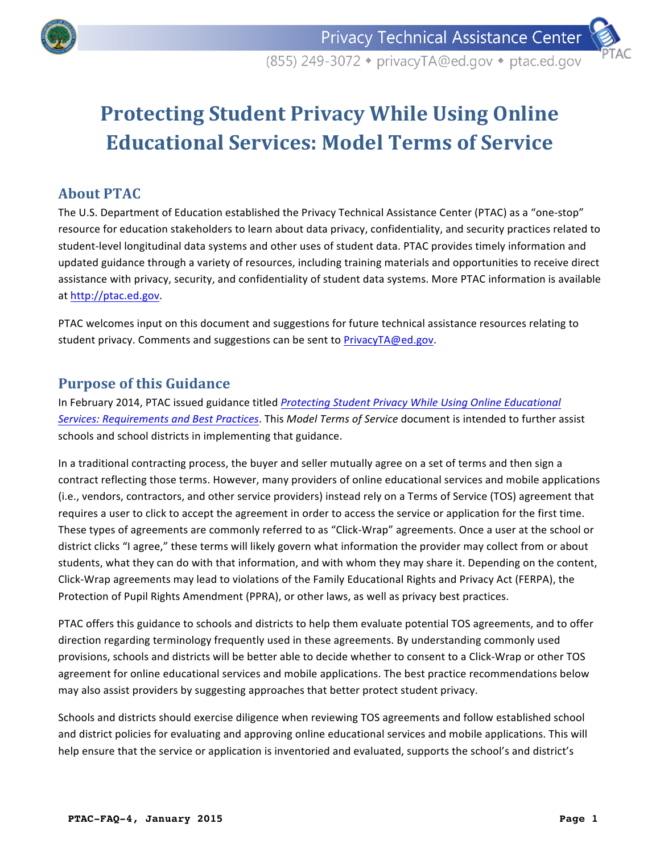



# **Protecting Student Privacy While Using Online Educational Services: Model Terms of Service**

## **About PTAC**

The U.S. Department of Education established the Privacy Technical Assistance Center (PTAC) as a "one-stop" resource for education stakeholders to learn about data privacy, confidentiality, and security practices related to student-level longitudinal data systems and other uses of student data. PTAC provides timely information and updated guidance through a variety of resources, including training materials and opportunities to receive direct assistance with privacy, security, and confidentiality of student data systems. More PTAC information is available at http://ptac.ed.gov. 

PTAC welcomes input on this document and suggestions for future technical assistance resources relating to student privacy. Comments and suggestions can be sent to PrivacyTA@ed.gov.

## **Purpose of this Guidance**

In February 2014, PTAC issued guidance titled *Protecting Student Privacy While Using Online Educational Services: Requirements and Best Practices*. This *Model Terms of Service* document is intended to further assist schools and school districts in implementing that guidance.

In a traditional contracting process, the buyer and seller mutually agree on a set of terms and then sign a contract reflecting those terms. However, many providers of online educational services and mobile applications (i.e., vendors, contractors, and other service providers) instead rely on a Terms of Service (TOS) agreement that requires a user to click to accept the agreement in order to access the service or application for the first time. These types of agreements are commonly referred to as "Click-Wrap" agreements. Once a user at the school or district clicks "I agree," these terms will likely govern what information the provider may collect from or about students, what they can do with that information, and with whom they may share it. Depending on the content, Click-Wrap agreements may lead to violations of the Family Educational Rights and Privacy Act (FERPA), the Protection of Pupil Rights Amendment (PPRA), or other laws, as well as privacy best practices.

PTAC offers this guidance to schools and districts to help them evaluate potential TOS agreements, and to offer direction regarding terminology frequently used in these agreements. By understanding commonly used provisions, schools and districts will be better able to decide whether to consent to a Click-Wrap or other TOS agreement for online educational services and mobile applications. The best practice recommendations below may also assist providers by suggesting approaches that better protect student privacy.

Schools and districts should exercise diligence when reviewing TOS agreements and follow established school and district policies for evaluating and approving online educational services and mobile applications. This will help ensure that the service or application is inventoried and evaluated, supports the school's and district's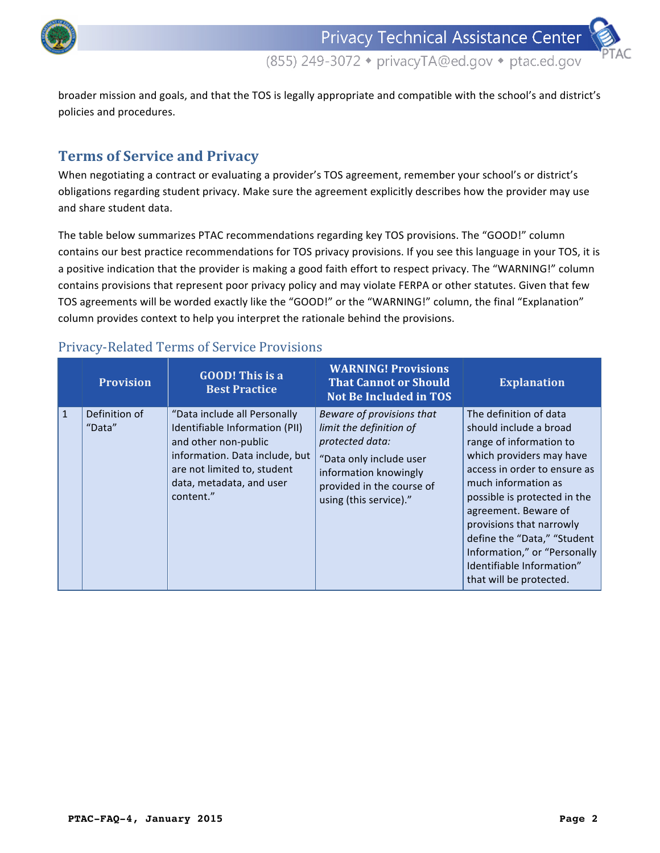

broader mission and goals, and that the TOS is legally appropriate and compatible with the school's and district's policies and procedures.

# **Terms of Service and Privacy**

When negotiating a contract or evaluating a provider's TOS agreement, remember your school's or district's obligations regarding student privacy. Make sure the agreement explicitly describes how the provider may use and share student data.

The table below summarizes PTAC recommendations regarding key TOS provisions. The "GOOD!" column contains our best practice recommendations for TOS privacy provisions. If you see this language in your TOS, it is a positive indication that the provider is making a good faith effort to respect privacy. The "WARNING!" column contains provisions that represent poor privacy policy and may violate FERPA or other statutes. Given that few TOS agreements will be worded exactly like the "GOOD!" or the "WARNING!" column, the final "Explanation" column provides context to help you interpret the rationale behind the provisions.

## Privacy-Related Terms of Service Provisions

|              | <b>Provision</b>        | <b>GOOD!</b> This is a<br><b>Best Practice</b>                                                                                                                                                   | <b>WARNING! Provisions</b><br><b>That Cannot or Should</b><br><b>Not Be Included in TOS</b>                                                                                        | <b>Explanation</b>                                                                                                                                                                                                                                                                                                                                                        |
|--------------|-------------------------|--------------------------------------------------------------------------------------------------------------------------------------------------------------------------------------------------|------------------------------------------------------------------------------------------------------------------------------------------------------------------------------------|---------------------------------------------------------------------------------------------------------------------------------------------------------------------------------------------------------------------------------------------------------------------------------------------------------------------------------------------------------------------------|
| $\mathbf{1}$ | Definition of<br>"Data" | "Data include all Personally<br>Identifiable Information (PII)<br>and other non-public<br>information. Data include, but<br>are not limited to, student<br>data, metadata, and user<br>content." | Beware of provisions that<br>limit the definition of<br>protected data:<br>"Data only include user<br>information knowingly<br>provided in the course of<br>using (this service)." | The definition of data<br>should include a broad<br>range of information to<br>which providers may have<br>access in order to ensure as<br>much information as<br>possible is protected in the<br>agreement. Beware of<br>provisions that narrowly<br>define the "Data," "Student<br>Information," or "Personally<br>Identifiable Information"<br>that will be protected. |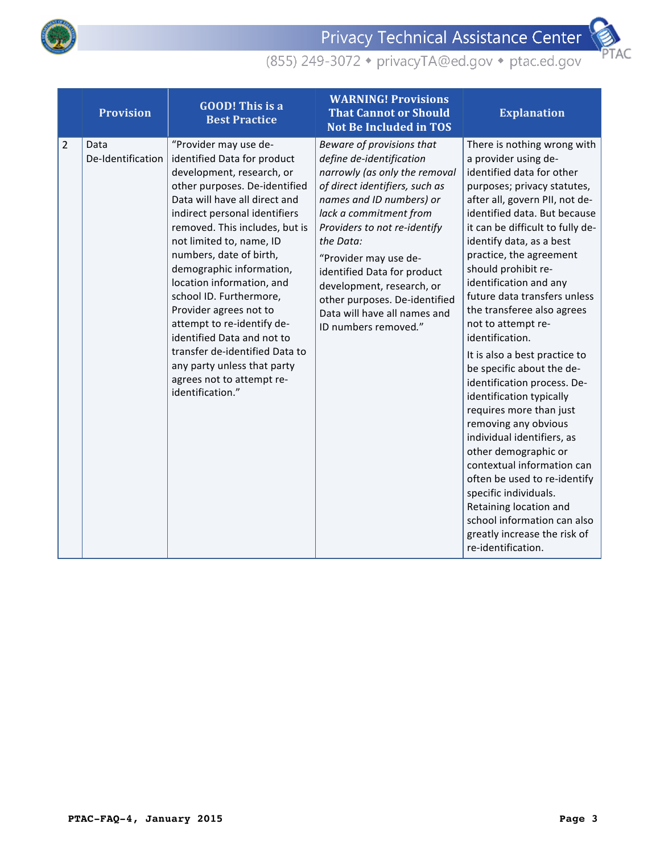

Privacy Technical Assistance Center



|                | <b>Provision</b>          | <b>GOOD!</b> This is a<br><b>Best Practice</b>                                                                                                                                                                                                                                                                                                                                                                                                                                                                                                                            | <b>WARNING! Provisions</b><br><b>That Cannot or Should</b><br><b>Not Be Included in TOS</b>                                                                                                                                                                                                                                                                                                               | <b>Explanation</b>                                                                                                                                                                                                                                                                                                                                                                                                                                                                                                                                                                                                                                                                                                                                                                                                                                                           |
|----------------|---------------------------|---------------------------------------------------------------------------------------------------------------------------------------------------------------------------------------------------------------------------------------------------------------------------------------------------------------------------------------------------------------------------------------------------------------------------------------------------------------------------------------------------------------------------------------------------------------------------|-----------------------------------------------------------------------------------------------------------------------------------------------------------------------------------------------------------------------------------------------------------------------------------------------------------------------------------------------------------------------------------------------------------|------------------------------------------------------------------------------------------------------------------------------------------------------------------------------------------------------------------------------------------------------------------------------------------------------------------------------------------------------------------------------------------------------------------------------------------------------------------------------------------------------------------------------------------------------------------------------------------------------------------------------------------------------------------------------------------------------------------------------------------------------------------------------------------------------------------------------------------------------------------------------|
| $\overline{2}$ | Data<br>De-Identification | "Provider may use de-<br>identified Data for product<br>development, research, or<br>other purposes. De-identified<br>Data will have all direct and<br>indirect personal identifiers<br>removed. This includes, but is<br>not limited to, name, ID<br>numbers, date of birth,<br>demographic information,<br>location information, and<br>school ID. Furthermore,<br>Provider agrees not to<br>attempt to re-identify de-<br>identified Data and not to<br>transfer de-identified Data to<br>any party unless that party<br>agrees not to attempt re-<br>identification." | Beware of provisions that<br>define de-identification<br>narrowly (as only the removal<br>of direct identifiers, such as<br>names and ID numbers) or<br>lack a commitment from<br>Providers to not re-identify<br>the Data:<br>"Provider may use de-<br>identified Data for product<br>development, research, or<br>other purposes. De-identified<br>Data will have all names and<br>ID numbers removed." | There is nothing wrong with<br>a provider using de-<br>identified data for other<br>purposes; privacy statutes,<br>after all, govern PII, not de-<br>identified data. But because<br>it can be difficult to fully de-<br>identify data, as a best<br>practice, the agreement<br>should prohibit re-<br>identification and any<br>future data transfers unless<br>the transferee also agrees<br>not to attempt re-<br>identification.<br>It is also a best practice to<br>be specific about the de-<br>identification process. De-<br>identification typically<br>requires more than just<br>removing any obvious<br>individual identifiers, as<br>other demographic or<br>contextual information can<br>often be used to re-identify<br>specific individuals.<br>Retaining location and<br>school information can also<br>greatly increase the risk of<br>re-identification. |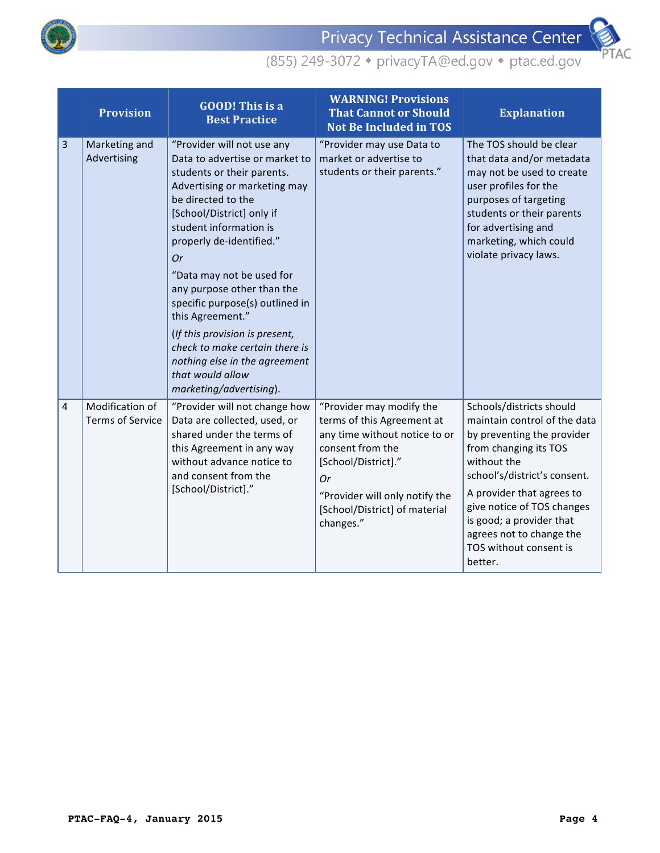



|                | <b>Provision</b>                           | <b>GOOD!</b> This is a<br><b>Best Practice</b>                                                                                                                                                                                                                                                                                                                                                                                                                                                                         | <b>WARNING! Provisions</b><br><b>That Cannot or Should</b><br><b>Not Be Included in TOS</b>                                                                                                                              | <b>Explanation</b>                                                                                                                                                                                                                                                                                                     |
|----------------|--------------------------------------------|------------------------------------------------------------------------------------------------------------------------------------------------------------------------------------------------------------------------------------------------------------------------------------------------------------------------------------------------------------------------------------------------------------------------------------------------------------------------------------------------------------------------|--------------------------------------------------------------------------------------------------------------------------------------------------------------------------------------------------------------------------|------------------------------------------------------------------------------------------------------------------------------------------------------------------------------------------------------------------------------------------------------------------------------------------------------------------------|
| 3              | Marketing and<br>Advertising               | "Provider will not use any<br>Data to advertise or market to<br>students or their parents.<br>Advertising or marketing may<br>be directed to the<br>[School/District] only if<br>student information is<br>properly de-identified."<br><b>Or</b><br>"Data may not be used for<br>any purpose other than the<br>specific purpose(s) outlined in<br>this Agreement."<br>(If this provision is present,<br>check to make certain there is<br>nothing else in the agreement<br>that would allow<br>marketing/advertising). | "Provider may use Data to<br>market or advertise to<br>students or their parents."                                                                                                                                       | The TOS should be clear<br>that data and/or metadata<br>may not be used to create<br>user profiles for the<br>purposes of targeting<br>students or their parents<br>for advertising and<br>marketing, which could<br>violate privacy laws.                                                                             |
| $\overline{4}$ | Modification of<br><b>Terms of Service</b> | "Provider will not change how<br>Data are collected, used, or<br>shared under the terms of<br>this Agreement in any way<br>without advance notice to<br>and consent from the<br>[School/District]."                                                                                                                                                                                                                                                                                                                    | "Provider may modify the<br>terms of this Agreement at<br>any time without notice to or<br>consent from the<br>[School/District]."<br>Or<br>"Provider will only notify the<br>[School/District] of material<br>changes." | Schools/districts should<br>maintain control of the data<br>by preventing the provider<br>from changing its TOS<br>without the<br>school's/district's consent.<br>A provider that agrees to<br>give notice of TOS changes<br>is good; a provider that<br>agrees not to change the<br>TOS without consent is<br>better. |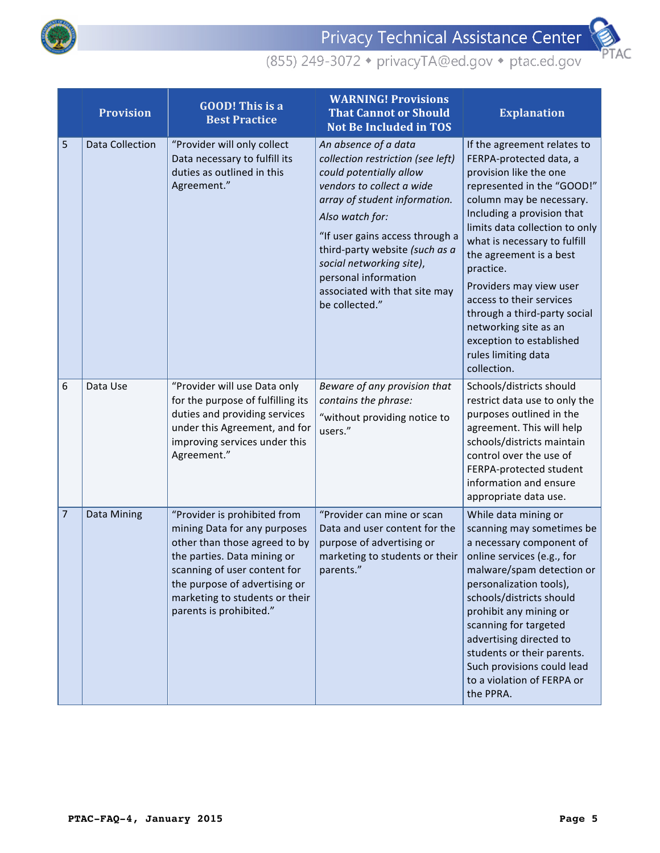



|                | <b>Provision</b> | <b>GOOD!</b> This is a<br><b>Best Practice</b>                                                                                                                                                                                                             | <b>WARNING! Provisions</b><br><b>That Cannot or Should</b><br><b>Not Be Included in TOS</b>                                                                                                                                                                                                                                                       | <b>Explanation</b>                                                                                                                                                                                                                                                                                                                                                                                                                                                   |
|----------------|------------------|------------------------------------------------------------------------------------------------------------------------------------------------------------------------------------------------------------------------------------------------------------|---------------------------------------------------------------------------------------------------------------------------------------------------------------------------------------------------------------------------------------------------------------------------------------------------------------------------------------------------|----------------------------------------------------------------------------------------------------------------------------------------------------------------------------------------------------------------------------------------------------------------------------------------------------------------------------------------------------------------------------------------------------------------------------------------------------------------------|
| 5              | Data Collection  | "Provider will only collect<br>Data necessary to fulfill its<br>duties as outlined in this<br>Agreement."                                                                                                                                                  | An absence of a data<br>collection restriction (see left)<br>could potentially allow<br>vendors to collect a wide<br>array of student information.<br>Also watch for:<br>"If user gains access through a<br>third-party website (such as a<br>social networking site),<br>personal information<br>associated with that site may<br>be collected." | If the agreement relates to<br>FERPA-protected data, a<br>provision like the one<br>represented in the "GOOD!"<br>column may be necessary.<br>Including a provision that<br>limits data collection to only<br>what is necessary to fulfill<br>the agreement is a best<br>practice.<br>Providers may view user<br>access to their services<br>through a third-party social<br>networking site as an<br>exception to established<br>rules limiting data<br>collection. |
| 6              | Data Use         | "Provider will use Data only<br>for the purpose of fulfilling its<br>duties and providing services<br>under this Agreement, and for<br>improving services under this<br>Agreement."                                                                        | Beware of any provision that<br>contains the phrase:<br>"without providing notice to<br>users."                                                                                                                                                                                                                                                   | Schools/districts should<br>restrict data use to only the<br>purposes outlined in the<br>agreement. This will help<br>schools/districts maintain<br>control over the use of<br>FERPA-protected student<br>information and ensure<br>appropriate data use.                                                                                                                                                                                                            |
| $\overline{7}$ | Data Mining      | "Provider is prohibited from<br>mining Data for any purposes<br>other than those agreed to by<br>the parties. Data mining or<br>scanning of user content for<br>the purpose of advertising or<br>marketing to students or their<br>parents is prohibited." | "Provider can mine or scan<br>Data and user content for the<br>purpose of advertising or<br>marketing to students or their<br>parents."                                                                                                                                                                                                           | While data mining or<br>scanning may sometimes be<br>a necessary component of<br>online services (e.g., for<br>malware/spam detection or<br>personalization tools),<br>schools/districts should<br>prohibit any mining or<br>scanning for targeted<br>advertising directed to<br>students or their parents.<br>Such provisions could lead<br>to a violation of FERPA or<br>the PPRA.                                                                                 |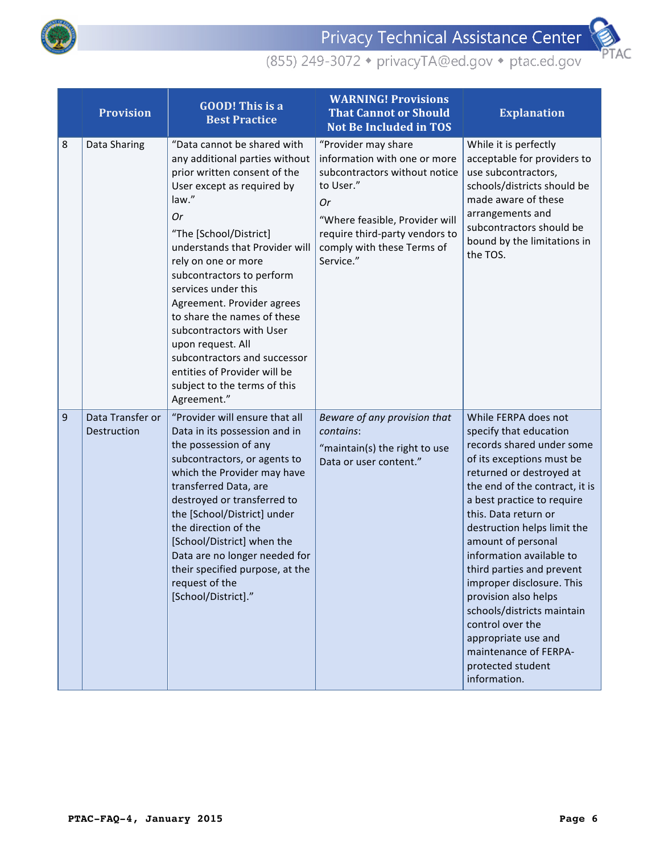



|   | <b>Provision</b>                | <b>GOOD!</b> This is a<br><b>Best Practice</b>                                                                                                                                                                                                                                                                                                                                                                                                                                                                 | <b>WARNING! Provisions</b><br><b>That Cannot or Should</b><br><b>Not Be Included in TOS</b>                                                                                                                            | <b>Explanation</b>                                                                                                                                                                                                                                                                                                                                                                                                                                                                                                                     |
|---|---------------------------------|----------------------------------------------------------------------------------------------------------------------------------------------------------------------------------------------------------------------------------------------------------------------------------------------------------------------------------------------------------------------------------------------------------------------------------------------------------------------------------------------------------------|------------------------------------------------------------------------------------------------------------------------------------------------------------------------------------------------------------------------|----------------------------------------------------------------------------------------------------------------------------------------------------------------------------------------------------------------------------------------------------------------------------------------------------------------------------------------------------------------------------------------------------------------------------------------------------------------------------------------------------------------------------------------|
| 8 | Data Sharing                    | "Data cannot be shared with<br>any additional parties without<br>prior written consent of the<br>User except as required by<br>law."<br>Or<br>"The [School/District]<br>understands that Provider will<br>rely on one or more<br>subcontractors to perform<br>services under this<br>Agreement. Provider agrees<br>to share the names of these<br>subcontractors with User<br>upon request. All<br>subcontractors and successor<br>entities of Provider will be<br>subject to the terms of this<br>Agreement." | "Provider may share<br>information with one or more<br>subcontractors without notice<br>to User."<br>Or<br>"Where feasible, Provider will<br>require third-party vendors to<br>comply with these Terms of<br>Service." | While it is perfectly<br>acceptable for providers to<br>use subcontractors,<br>schools/districts should be<br>made aware of these<br>arrangements and<br>subcontractors should be<br>bound by the limitations in<br>the TOS.                                                                                                                                                                                                                                                                                                           |
| 9 | Data Transfer or<br>Destruction | "Provider will ensure that all<br>Data in its possession and in<br>the possession of any<br>subcontractors, or agents to<br>which the Provider may have<br>transferred Data, are<br>destroyed or transferred to<br>the [School/District] under<br>the direction of the<br>[School/District] when the<br>Data are no longer needed for<br>their specified purpose, at the<br>request of the<br>[School/District]."                                                                                              | Beware of any provision that<br>contains:<br>"maintain(s) the right to use<br>Data or user content."                                                                                                                   | While FERPA does not<br>specify that education<br>records shared under some<br>of its exceptions must be<br>returned or destroyed at<br>the end of the contract, it is<br>a best practice to require<br>this. Data return or<br>destruction helps limit the<br>amount of personal<br>information available to<br>third parties and prevent<br>improper disclosure. This<br>provision also helps<br>schools/districts maintain<br>control over the<br>appropriate use and<br>maintenance of FERPA-<br>protected student<br>information. |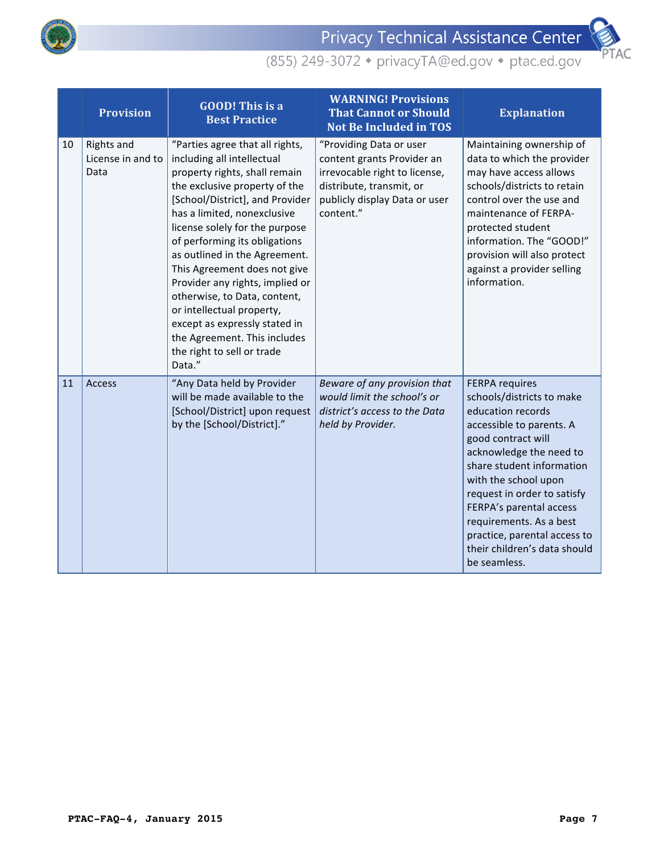



|    | <b>Provision</b>                        | <b>GOOD!</b> This is a<br><b>Best Practice</b>                                                                                                                                                                                                                                                                                                                                                                                                                                                                                                 | <b>WARNING! Provisions</b><br><b>That Cannot or Should</b><br><b>Not Be Included in TOS</b>                                                                      | <b>Explanation</b>                                                                                                                                                                                                                                                                                                                                                             |
|----|-----------------------------------------|------------------------------------------------------------------------------------------------------------------------------------------------------------------------------------------------------------------------------------------------------------------------------------------------------------------------------------------------------------------------------------------------------------------------------------------------------------------------------------------------------------------------------------------------|------------------------------------------------------------------------------------------------------------------------------------------------------------------|--------------------------------------------------------------------------------------------------------------------------------------------------------------------------------------------------------------------------------------------------------------------------------------------------------------------------------------------------------------------------------|
| 10 | Rights and<br>License in and to<br>Data | "Parties agree that all rights,<br>including all intellectual<br>property rights, shall remain<br>the exclusive property of the<br>[School/District], and Provider<br>has a limited, nonexclusive<br>license solely for the purpose<br>of performing its obligations<br>as outlined in the Agreement.<br>This Agreement does not give<br>Provider any rights, implied or<br>otherwise, to Data, content,<br>or intellectual property,<br>except as expressly stated in<br>the Agreement. This includes<br>the right to sell or trade<br>Data." | "Providing Data or user<br>content grants Provider an<br>irrevocable right to license,<br>distribute, transmit, or<br>publicly display Data or user<br>content." | Maintaining ownership of<br>data to which the provider<br>may have access allows<br>schools/districts to retain<br>control over the use and<br>maintenance of FERPA-<br>protected student<br>information. The "GOOD!"<br>provision will also protect<br>against a provider selling<br>information.                                                                             |
| 11 | <b>Access</b>                           | "Any Data held by Provider<br>will be made available to the<br>[School/District] upon request<br>by the [School/District]."                                                                                                                                                                                                                                                                                                                                                                                                                    | Beware of any provision that<br>would limit the school's or<br>district's access to the Data<br>held by Provider.                                                | <b>FERPA requires</b><br>schools/districts to make<br>education records<br>accessible to parents. A<br>good contract will<br>acknowledge the need to<br>share student information<br>with the school upon<br>request in order to satisfy<br>FERPA's parental access<br>requirements. As a best<br>practice, parental access to<br>their children's data should<br>be seamless. |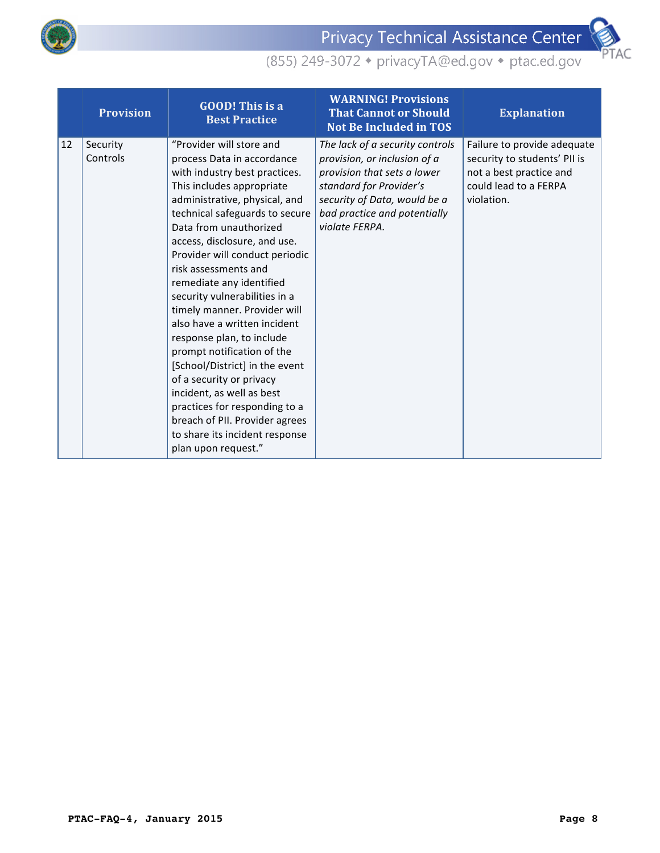

Privacy Technical Assistance Center



|    | <b>Provision</b>     | <b>GOOD!</b> This is a<br><b>Best Practice</b>                                                                                                                                                                                                                                                                                                                                                                                                                                                                                                                                                                                                                                                                             | <b>WARNING! Provisions</b><br><b>That Cannot or Should</b><br><b>Not Be Included in TOS</b>                                                                                                                 | <b>Explanation</b>                                                                                                            |
|----|----------------------|----------------------------------------------------------------------------------------------------------------------------------------------------------------------------------------------------------------------------------------------------------------------------------------------------------------------------------------------------------------------------------------------------------------------------------------------------------------------------------------------------------------------------------------------------------------------------------------------------------------------------------------------------------------------------------------------------------------------------|-------------------------------------------------------------------------------------------------------------------------------------------------------------------------------------------------------------|-------------------------------------------------------------------------------------------------------------------------------|
| 12 | Security<br>Controls | "Provider will store and<br>process Data in accordance<br>with industry best practices.<br>This includes appropriate<br>administrative, physical, and<br>technical safeguards to secure<br>Data from unauthorized<br>access, disclosure, and use.<br>Provider will conduct periodic<br>risk assessments and<br>remediate any identified<br>security vulnerabilities in a<br>timely manner. Provider will<br>also have a written incident<br>response plan, to include<br>prompt notification of the<br>[School/District] in the event<br>of a security or privacy<br>incident, as well as best<br>practices for responding to a<br>breach of PII. Provider agrees<br>to share its incident response<br>plan upon request." | The lack of a security controls<br>provision, or inclusion of a<br>provision that sets a lower<br>standard for Provider's<br>security of Data, would be a<br>bad practice and potentially<br>violate FERPA. | Failure to provide adequate<br>security to students' PII is<br>not a best practice and<br>could lead to a FERPA<br>violation. |